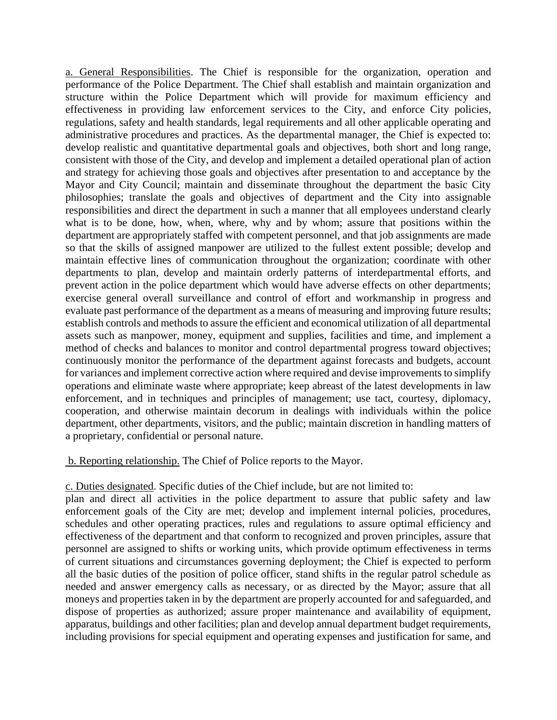a. General Responsibilities. The Chief is responsible for the organization, operation and performance of the Police Department. The Chief shall establish and maintain organization and structure within the Police Department which will provide for maximum efficiency and effectiveness in providing law enforcement services to the City, and enforce City policies, regulations, safety and health standards, legal requirements and all other applicable operating and administrative procedures and practices. As the departmental manager, the Chief is expected to: develop realistic and quantitative departmental goals and objectives, both short and long range, consistent with those of the City, and develop and implement a detailed operational plan of action and strategy for achieving those goals and objectives after presentation to and acceptance by the Mayor and City Council; maintain and disseminate throughout the department the basic City philosophies; translate the goals and objectives of department and the City into assignable responsibilities and direct the department in such a manner that all employees understand clearly what is to be done, how, when, where, why and by whom; assure that positions within the department are appropriately staffed with competent personnel, and that job assignments are made so that the skills of assigned manpower are utilized to the fullest extent possible; develop and maintain effective lines of communication throughout the organization; coordinate with other departments to plan, develop and maintain orderly patterns of interdepartmental efforts, and prevent action in the police department which would have adverse effects on other departments; exercise general overall surveillance and control of effort and workmanship in progress and evaluate past performance of the department as a means of measuring and improving future results; establish controls and methods to assure the efficient and economical utilization of all departmental assets such as manpower, money, equipment and supplies, facilities and time, and implement a method of checks and balances to monitor and control departmental progress toward objectives; continuously monitor the performance of the department against forecasts and budgets, account for variances and implement corrective action where required and devise improvements to simplify operations and eliminate waste where appropriate; keep abreast of the latest developments in law enforcement, and in techniques and principles of management; use tact, courtesy, diplomacy, cooperation, and otherwise maintain decorum in dealings with individuals within the police department, other departments, visitors, and the public; maintain discretion in handling matters of a proprietary, confidential or personal nature.

## b. Reporting relationship. The Chief of Police reports to the Mayor.

## c. Duties designated. Specific duties of the Chief include, but are not limited to:

plan and direct all activities in the police department to assure that public safety and law enforcement goals of the City are met; develop and implement internal policies, procedures, schedules and other operating practices, rules and regulations to assure optimal efficiency and effectiveness of the department and that conform to recognized and proven principles, assure that personnel are assigned to shifts or working units, which provide optimum effectiveness in terms of current situations and circumstances governing deployment; the Chief is expected to perform all the basic duties of the position of police officer, stand shifts in the regular patrol schedule as needed and answer emergency calls as necessary, or as directed by the Mayor; assure that all moneys and properties taken in by the department are properly accounted for and safeguarded, and dispose of properties as authorized; assure proper maintenance and availability of equipment, apparatus, buildings and other facilities; plan and develop annual department budget requirements, including provisions for special equipment and operating expenses and justification for same, and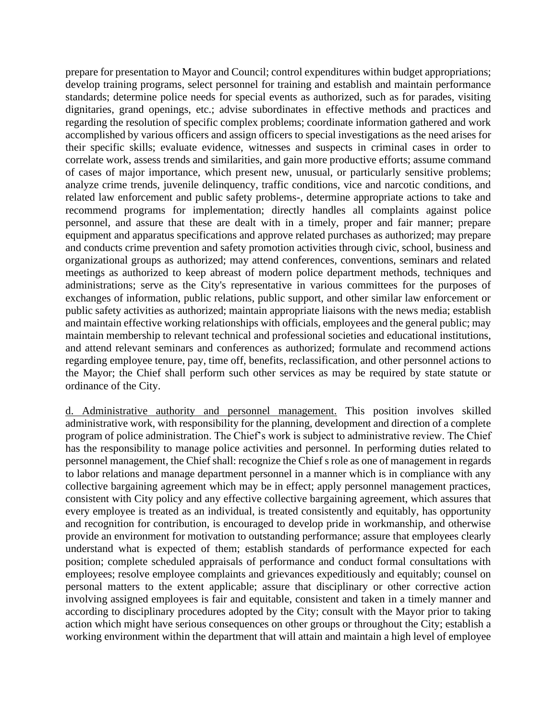prepare for presentation to Mayor and Council; control expenditures within budget appropriations; develop training programs, select personnel for training and establish and maintain performance standards; determine police needs for special events as authorized, such as for parades, visiting dignitaries, grand openings, etc.; advise subordinates in effective methods and practices and regarding the resolution of specific complex problems; coordinate information gathered and work accomplished by various officers and assign officers to special investigations as the need arises for their specific skills; evaluate evidence, witnesses and suspects in criminal cases in order to correlate work, assess trends and similarities, and gain more productive efforts; assume command of cases of major importance, which present new, unusual, or particularly sensitive problems; analyze crime trends, juvenile delinquency, traffic conditions, vice and narcotic conditions, and related law enforcement and public safety problems-, determine appropriate actions to take and recommend programs for implementation; directly handles all complaints against police personnel, and assure that these are dealt with in a timely, proper and fair manner; prepare equipment and apparatus specifications and approve related purchases as authorized; may prepare and conducts crime prevention and safety promotion activities through civic, school, business and organizational groups as authorized; may attend conferences, conventions, seminars and related meetings as authorized to keep abreast of modern police department methods, techniques and administrations; serve as the City's representative in various committees for the purposes of exchanges of information, public relations, public support, and other similar law enforcement or public safety activities as authorized; maintain appropriate liaisons with the news media; establish and maintain effective working relationships with officials, employees and the general public; may maintain membership to relevant technical and professional societies and educational institutions, and attend relevant seminars and conferences as authorized; formulate and recommend actions regarding employee tenure, pay, time off, benefits, reclassification, and other personnel actions to the Mayor; the Chief shall perform such other services as may be required by state statute or ordinance of the City.

d. Administrative authority and personnel management. This position involves skilled administrative work, with responsibility for the planning, development and direction of a complete program of police administration. The Chief's work is subject to administrative review. The Chief has the responsibility to manage police activities and personnel. In performing duties related to personnel management, the Chief shall: recognize the Chief s role as one of management in regards to labor relations and manage department personnel in a manner which is in compliance with any collective bargaining agreement which may be in effect; apply personnel management practices, consistent with City policy and any effective collective bargaining agreement, which assures that every employee is treated as an individual, is treated consistently and equitably, has opportunity and recognition for contribution, is encouraged to develop pride in workmanship, and otherwise provide an environment for motivation to outstanding performance; assure that employees clearly understand what is expected of them; establish standards of performance expected for each position; complete scheduled appraisals of performance and conduct formal consultations with employees; resolve employee complaints and grievances expeditiously and equitably; counsel on personal matters to the extent applicable; assure that disciplinary or other corrective action involving assigned employees is fair and equitable, consistent and taken in a timely manner and according to disciplinary procedures adopted by the City; consult with the Mayor prior to taking action which might have serious consequences on other groups or throughout the City; establish a working environment within the department that will attain and maintain a high level of employee